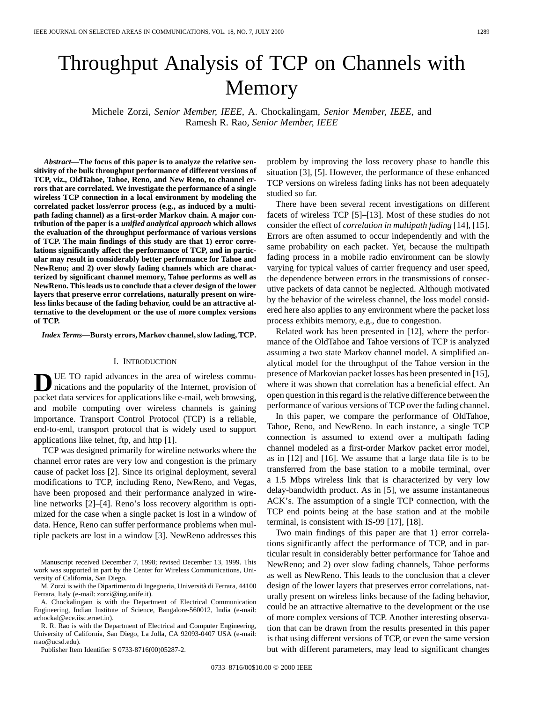# Throughput Analysis of TCP on Channels with Memory

Michele Zorzi*, Senior Member, IEEE*, A. Chockalingam*, Senior Member, IEEE*, and Ramesh R. Rao*, Senior Member, IEEE*

*Abstract—***The focus of this paper is to analyze the relative sensitivity of the bulk throughput performance of different versions of TCP, viz., OldTahoe, Tahoe, Reno, and New Reno, to channel errors that are correlated. We investigate the performance of a single wireless TCP connection in a local environment by modeling the correlated packet loss/error process (e.g., as induced by a multipath fading channel) as a first-order Markov chain. A major contribution of the paper is a** *unified analytical approach* **which allows the evaluation of the throughput performance of various versions of TCP. The main findings of this study are that 1) error correlations significantly affect the performance of TCP, and in particular may result in considerably better performance for Tahoe and NewReno; and 2) over slowly fading channels which are characterized by significant channel memory, Tahoe performs as well as NewReno. This leads us to conclude that a clever design of the lower layers that preserve error correlations, naturally present on wireless links because of the fading behavior, could be an attractive alternative to the development or the use of more complex versions of TCP.**

*Index Terms—***Bursty errors, Markov channel, slow fading, TCP.**

### I. INTRODUCTION

**D**UE TO rapid advances in the area of wireless commu-<br>nications and the popularity of the Internet, provision of packet data services for applications like e-mail, web browsing, and mobile computing over wireless channels is gaining importance. Transport Control Protocol (TCP) is a reliable, end-to-end, transport protocol that is widely used to support applications like telnet, ftp, and http [1].

TCP was designed primarily for wireline networks where the channel error rates are very low and congestion is the primary cause of packet loss [2]. Since its original deployment, several modifications to TCP, including Reno, NewReno, and Vegas, have been proposed and their performance analyzed in wireline networks [2]–[4]. Reno's loss recovery algorithm is optimized for the case when a single packet is lost in a window of data. Hence, Reno can suffer performance problems when multiple packets are lost in a window [3]. NewReno addresses this

Manuscript received December 7, 1998; revised December 13, 1999. This work was supported in part by the Center for Wireless Communications, University of California, San Diego.

M. Zorzi is with the Dipartimento di Ingegneria, Università di Ferrara, 44100 Ferrara, Italy (e-mail: zorzi@ing.unife.it).

A. Chockalingam is with the Department of Electrical Communication Engineering, Indian Institute of Science, Bangalore-560012, India (e-mail: achockal@ece.iisc.ernet.in).

R. R. Rao is with the Department of Electrical and Computer Engineering, University of California, San Diego, La Jolla, CA 92093-0407 USA (e-mail: rrao@ucsd.edu).

Publisher Item Identifier S 0733-8716(00)05287-2.

problem by improving the loss recovery phase to handle this situation [3], [5]. However, the performance of these enhanced TCP versions on wireless fading links has not been adequately studied so far.

There have been several recent investigations on different facets of wireless TCP [5]–[13]. Most of these studies do not consider the effect of *correlation in multipath fading* [14], [15]. Errors are often assumed to occur independently and with the same probability on each packet. Yet, because the multipath fading process in a mobile radio environment can be slowly varying for typical values of carrier frequency and user speed, the dependence between errors in the transmissions of consecutive packets of data cannot be neglected. Although motivated by the behavior of the wireless channel, the loss model considered here also applies to any environment where the packet loss process exhibits memory, e.g., due to congestion.

Related work has been presented in [12], where the performance of the OldTahoe and Tahoe versions of TCP is analyzed assuming a two state Markov channel model. A simplified analytical model for the throughput of the Tahoe version in the presence of Markovian packet losses has been presented in [15], where it was shown that correlation has a beneficial effect. An open question in this regard is the relative difference between the performance of various versions of TCP over the fading channel.

In this paper, we compare the performance of OldTahoe, Tahoe, Reno, and NewReno. In each instance, a single TCP connection is assumed to extend over a multipath fading channel modeled as a first-order Markov packet error model, as in [12] and [16]. We assume that a large data file is to be transferred from the base station to a mobile terminal, over a 1.5 Mbps wireless link that is characterized by very low delay-bandwidth product. As in [5], we assume instantaneous ACK's. The assumption of a single TCP connection, with the TCP end points being at the base station and at the mobile terminal, is consistent with IS-99 [17], [18].

Two main findings of this paper are that 1) error correlations significantly affect the performance of TCP, and in particular result in considerably better performance for Tahoe and NewReno; and 2) over slow fading channels, Tahoe performs as well as NewReno. This leads to the conclusion that a clever design of the lower layers that preserves error correlations, naturally present on wireless links because of the fading behavior, could be an attractive alternative to the development or the use of more complex versions of TCP. Another interesting observation that can be drawn from the results presented in this paper is that using different versions of TCP, or even the same version but with different parameters, may lead to significant changes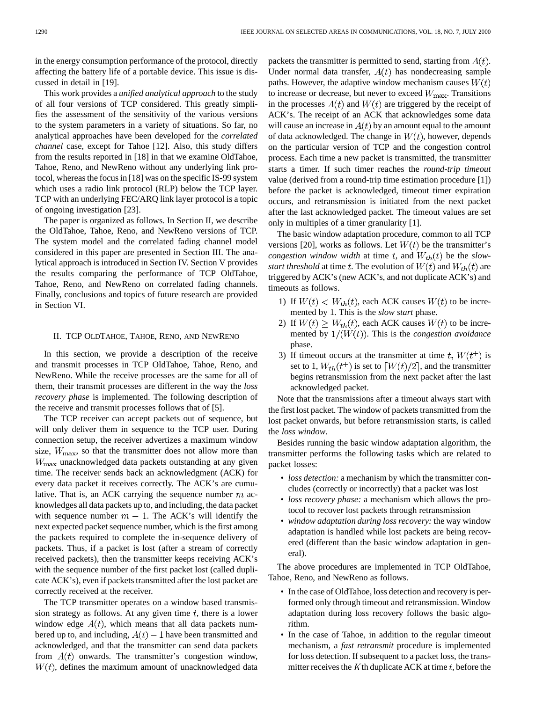in the energy consumption performance of the protocol, directly affecting the battery life of a portable device. This issue is discussed in detail in [19].

This work provides a *unified analytical approach* to the study of all four versions of TCP considered. This greatly simplifies the assessment of the sensitivity of the various versions to the system parameters in a variety of situations. So far, no analytical approaches have been developed for the *correlated channel* case, except for Tahoe [12]. Also, this study differs from the results reported in [18] in that we examine OldTahoe, Tahoe, Reno, and NewReno without any underlying link protocol, whereas the focus in [18] was on the specific IS-99 system which uses a radio link protocol (RLP) below the TCP layer. TCP with an underlying FEC/ARQ link layer protocol is a topic of ongoing investigation [23].

The paper is organized as follows. In Section II, we describe the OldTahoe, Tahoe, Reno, and NewReno versions of TCP. The system model and the correlated fading channel model considered in this paper are presented in Section III. The analytical approach is introduced in Section IV. Section V provides the results comparing the performance of TCP OldTahoe, Tahoe, Reno, and NewReno on correlated fading channels. Finally, conclusions and topics of future research are provided in Section VI.

### II. TCP OLDTAHOE, TAHOE, RENO, AND NEWRENO

In this section, we provide a description of the receive and transmit processes in TCP OldTahoe, Tahoe, Reno, and NewReno. While the receive processes are the same for all of them, their transmit processes are different in the way the *loss recovery phase* is implemented. The following description of the receive and transmit processes follows that of [5].

The TCP receiver can accept packets out of sequence, but will only deliver them in sequence to the TCP user. During connection setup, the receiver advertizes a maximum window size,  $W_{\text{max}}$ , so that the transmitter does not allow more than  $W_{\text{max}}$  unacknowledged data packets outstanding at any given time. The receiver sends back an acknowledgment (ACK) for every data packet it receives correctly. The ACK's are cumulative. That is, an ACK carrying the sequence number  $m$  acknowledges all data packets up to, and including, the data packet with sequence number  $m - 1$ . The ACK's will identify the next expected packet sequence number, which is the first among the packets required to complete the in-sequence delivery of packets. Thus, if a packet is lost (after a stream of correctly received packets), then the transmitter keeps receiving ACK's with the sequence number of the first packet lost (called duplicate ACK's), even if packets transmitted after the lost packet are correctly received at the receiver.

The TCP transmitter operates on a window based transmission strategy as follows. At any given time  $t$ , there is a lower window edge  $A(t)$ , which means that all data packets numbered up to, and including,  $A(t) - 1$  have been transmitted and acknowledged, and that the transmitter can send data packets from  $A(t)$  onwards. The transmitter's congestion window,  $W(t)$ , defines the maximum amount of unacknowledged data packets the transmitter is permitted to send, starting from  $A(t)$ . Under normal data transfer,  $A(t)$  has nondecreasing sample paths. However, the adaptive window mechanism causes  $W(t)$ to increase or decrease, but never to exceed  $W_{\text{max}}$ . Transitions in the processes  $A(t)$  and  $W(t)$  are triggered by the receipt of ACK's. The receipt of an ACK that acknowledges some data will cause an increase in  $A(t)$  by an amount equal to the amount of data acknowledged. The change in  $W(t)$ , however, depends on the particular version of TCP and the congestion control process. Each time a new packet is transmitted, the transmitter starts a timer. If such timer reaches the *round-trip timeout* value (derived from a round-trip time estimation procedure [1]) before the packet is acknowledged, timeout timer expiration occurs, and retransmission is initiated from the next packet after the last acknowledged packet. The timeout values are set only in multiples of a timer granularity [1].

The basic window adaptation procedure, common to all TCP versions [20], works as follows. Let  $W(t)$  be the transmitter's *congestion window width* at time t, and  $W_{th}(t)$  be the *slowstart threshold* at time t. The evolution of  $W(t)$  and  $W_{th}(t)$  are triggered by ACK's (new ACK's, and not duplicate ACK's) and timeouts as follows.

- 1) If  $W(t) < W_{th}(t)$ , each ACK causes  $W(t)$  to be incremented by 1. This is the *slow start* phase.
- 2) If  $W(t) \geq W_{th}(t)$ , each ACK causes  $W(t)$  to be incremented by  $1/(W(t))$ . This is the *congestion avoidance* phase.
- 3) If timeout occurs at the transmitter at time t,  $W(t^+)$  is set to 1,  $W_{th}(t^+)$  is set to  $[W(t)/2]$ , and the transmitter begins retransmission from the next packet after the last acknowledged packet.

Note that the transmissions after a timeout always start with the first lost packet. The window of packets transmitted from the lost packet onwards, but before retransmission starts, is called the *loss window*.

Besides running the basic window adaptation algorithm, the transmitter performs the following tasks which are related to packet losses:

- *loss detection:* a mechanism by which the transmitter concludes (correctly or incorrectly) that a packet was lost
- *loss recovery phase:* a mechanism which allows the protocol to recover lost packets through retransmission
- *window adaptation during loss recovery:* the way window adaptation is handled while lost packets are being recovered (different than the basic window adaptation in general).

The above procedures are implemented in TCP OldTahoe, Tahoe, Reno, and NewReno as follows.

- In the case of OldTahoe, loss detection and recovery is performed only through timeout and retransmission. Window adaptation during loss recovery follows the basic algorithm.
- In the case of Tahoe, in addition to the regular timeout mechanism, a *fast retransmit* procedure is implemented for loss detection. If subsequent to a packet loss, the transmitter receives the  $K$ th duplicate ACK at time  $t$ , before the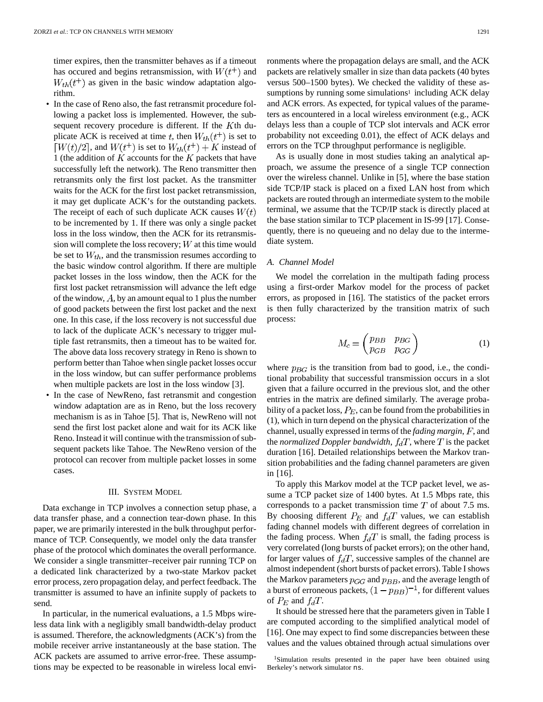timer expires, then the transmitter behaves as if a timeout has occured and begins retransmission, with  $W(t^+)$  and  $W_{th}(t^{+})$  as given in the basic window adaptation algorithm.

- In the case of Reno also, the fast retransmit procedure following a packet loss is implemented. However, the subsequent recovery procedure is different. If the  $K$ th duplicate ACK is received at time t, then  $W_{th}(t^{+})$  is set to  $[W(t)/2]$ , and  $W(t^+)$  is set to  $W_{th}(t^+) + K$  instead of 1 (the addition of  $K$  accounts for the  $K$  packets that have successfully left the network). The Reno transmitter then retransmits only the first lost packet. As the transmitter waits for the ACK for the first lost packet retransmission, it may get duplicate ACK's for the outstanding packets. The receipt of each of such duplicate ACK causes  $W(t)$ to be incremented by 1. If there was only a single packet loss in the loss window, then the ACK for its retransmission will complete the loss recovery;  $W$  at this time would be set to  $W_{th}$ , and the transmission resumes according to the basic window control algorithm. If there are multiple packet losses in the loss window, then the ACK for the first lost packet retransmission will advance the left edge of the window,  $A$ , by an amount equal to 1 plus the number of good packets between the first lost packet and the next one. In this case, if the loss recovery is not successful due to lack of the duplicate ACK's necessary to trigger multiple fast retransmits, then a timeout has to be waited for. The above data loss recovery strategy in Reno is shown to perform better than Tahoe when single packet losses occur in the loss window, but can suffer performance problems when multiple packets are lost in the loss window [3].
- In the case of NewReno, fast retransmit and congestion window adaptation are as in Reno, but the loss recovery mechanism is as in Tahoe [5]. That is, NewReno will not send the first lost packet alone and wait for its ACK like Reno. Instead it will continue with the transmission of subsequent packets like Tahoe. The NewReno version of the protocol can recover from multiple packet losses in some cases.

### III. SYSTEM MODEL

Data exchange in TCP involves a connection setup phase, a data transfer phase, and a connection tear-down phase. In this paper, we are primarily interested in the bulk throughput performance of TCP. Consequently, we model only the data transfer phase of the protocol which dominates the overall performance. We consider a single transmitter–receiver pair running TCP on a dedicated link characterized by a two-state Markov packet error process, zero propagation delay, and perfect feedback. The transmitter is assumed to have an infinite supply of packets to send.

In particular, in the numerical evaluations, a 1.5 Mbps wireless data link with a negligibly small bandwidth-delay product is assumed. Therefore, the acknowledgments (ACK's) from the mobile receiver arrive instantaneously at the base station. The ACK packets are assumed to arrive error-free. These assumptions may be expected to be reasonable in wireless local environments where the propagation delays are small, and the ACK packets are relatively smaller in size than data packets (40 bytes versus 500–1500 bytes). We checked the validity of these assumptions by running some simulations<sup>1</sup> including  $ACK$  delay and ACK errors. As expected, for typical values of the parameters as encountered in a local wireless environment (e.g., ACK delays less than a couple of TCP slot intervals and ACK error probability not exceeding 0.01), the effect of ACK delays and errors on the TCP throughput performance is negligible.

As is usually done in most studies taking an analytical approach, we assume the presence of a single TCP connection over the wireless channel. Unlike in [5], where the base station side TCP/IP stack is placed on a fixed LAN host from which packets are routed through an intermediate system to the mobile terminal, we assume that the TCP/IP stack is directly placed at the base station similar to TCP placement in IS-99 [17]. Consequently, there is no queueing and no delay due to the intermediate system.

# *A. Channel Model*

We model the correlation in the multipath fading process using a first-order Markov model for the process of packet errors, as proposed in [16]. The statistics of the packet errors is then fully characterized by the transition matrix of such process:

$$
M_c = \begin{pmatrix} p_{BB} & p_{BG} \\ p_{GB} & p_{GG} \end{pmatrix}
$$
 (1)

where  $p_{BG}$  is the transition from bad to good, i.e., the conditional probability that successful transmission occurs in a slot given that a failure occurred in the previous slot, and the other entries in the matrix are defined similarly. The average probability of a packet loss,  $P_E$ , can be found from the probabilities in (1), which in turn depend on the physical characterization of the channel, usually expressed in terms of the *fading margin*, F, and the *normalized Doppler bandwidth*,  $f_dT$ , where T is the packet duration [16]. Detailed relationships between the Markov transition probabilities and the fading channel parameters are given in [16].

To apply this Markov model at the TCP packet level, we assume a TCP packet size of 1400 bytes. At 1.5 Mbps rate, this corresponds to a packet transmission time  $T$  of about 7.5 ms. By choosing different  $P_E$  and  $f_dT$  values, we can establish fading channel models with different degrees of correlation in the fading process. When  $f_dT$  is small, the fading process is very correlated (long bursts of packet errors); on the other hand, for larger values of  $f_dT$ , successive samples of the channel are almost independent (short bursts of packet errors). Table I shows the Markov parameters  $p_{GG}$  and  $p_{BB}$ , and the average length of a burst of erroneous packets,  $(1 - p_{BB})^{-1}$ , for different values of  $P_E$  and  $f_dT$ .

It should be stressed here that the parameters given in Table I are computed according to the simplified analytical model of [16]. One may expect to find some discrepancies between these values and the values obtained through actual simulations over

<sup>&</sup>lt;sup>1</sup>Simulation results presented in the paper have been obtained using Berkeley's network simulator ns.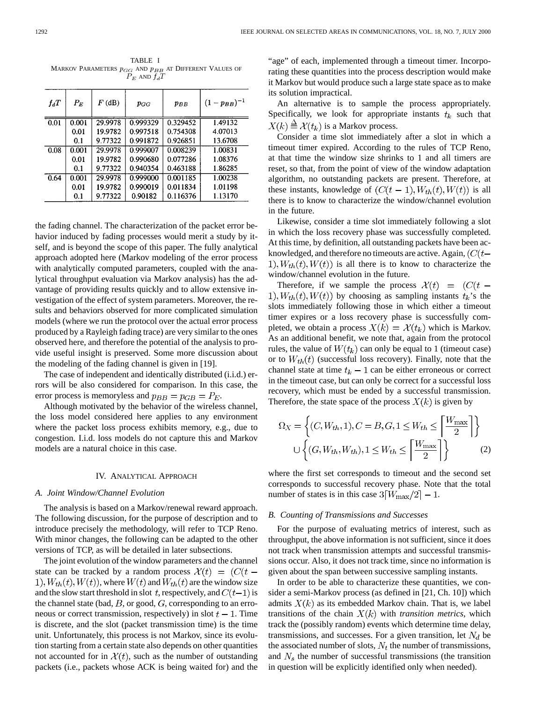TABLE I MARKOV PARAMETERS  $p_{GG}$  and  $p_{BB}$  at Different Values of  $P_E$  AND  $f_dT$ 

| $f_dT$ | $P_E$ | $F$ (dB) | $p_{GG}$ | $p_{BB}$ | $(1-p_{BB})^{-1}$ |
|--------|-------|----------|----------|----------|-------------------|
| 0.01   | 0.001 | 29.9978  | 0.999329 | 0.329452 | 1.49132           |
|        | 0.01  | 19.9782  | 0.997518 | 0.754308 | 4.07013           |
|        | 0.1   | 9.77322  | 0.991872 | 0.926851 | 13.6708           |
| 0.08   | 0.001 | 29.9978  | 0.999007 | 0.008239 | 1.00831           |
|        | 0.01  | 19.9782  | 0.990680 | 0.077286 | 1.08376           |
|        | 0.1   | 9.77322  | 0.940354 | 0.463188 | 1.86285           |
| 0.64   | 0.001 | 29.9978  | 0.999000 | 0.001185 | 1.00238           |
|        | 0.01  | 19.9782  | 0.990019 | 0.011834 | 1.01198           |
|        | 0.1   | 9.77322  | 0.90182  | 0.116376 | 1.13170           |

the fading channel. The characterization of the packet error behavior induced by fading processes would merit a study by itself, and is beyond the scope of this paper. The fully analytical approach adopted here (Markov modeling of the error process with analytically computed parameters, coupled with the analytical throughput evaluation via Markov analysis) has the advantage of providing results quickly and to allow extensive investigation of the effect of system parameters. Moreover, the results and behaviors observed for more complicated simulation models (where we run the protocol over the actual error process produced by a Rayleigh fading trace) are very similar to the ones observed here, and therefore the potential of the analysis to provide useful insight is preserved. Some more discussion about the modeling of the fading channel is given in [19].

The case of independent and identically distributed (i.i.d.) errors will be also considered for comparison. In this case, the error process is memoryless and  $p_{BB} = p_{GB} = P_E$ .

Although motivated by the behavior of the wireless channel, the loss model considered here applies to any environment where the packet loss process exhibits memory, e.g., due to congestion. I.i.d. loss models do not capture this and Markov models are a natural choice in this case.

#### IV. ANALYTICAL APPROACH

### *A. Joint Window/Channel Evolution*

The analysis is based on a Markov/renewal reward approach. The following discussion, for the purpose of description and to introduce precisely the methodology, will refer to TCP Reno. With minor changes, the following can be adapted to the other versions of TCP, as will be detailed in later subsections.

The joint evolution of the window parameters and the channel state can be tracked by a random process  $\mathcal{X}(t) = (C(t -$ 1),  $W_{th}(t)$ ,  $W(t)$ , where  $W(t)$  and  $W_{th}(t)$  are the window size and the slow start threshold in slot t, respectively, and  $C(t-1)$  is the channel state (bad,  $B$ , or good,  $G$ , corresponding to an erroneous or correct transmission, respectively) in slot  $t - 1$ . Time is discrete, and the slot (packet transmission time) is the time unit. Unfortunately, this process is not Markov, since its evolution starting from a certain state also depends on other quantities not accounted for in  $\mathcal{X}(t)$ , such as the number of outstanding packets (i.e., packets whose ACK is being waited for) and the

"age" of each, implemented through a timeout timer. Incorporating these quantities into the process description would make it Markov but would produce such a large state space as to make its solution impractical.

An alternative is to sample the process appropriately. Specifically, we look for appropriate instants  $t_k$  such that  $X(k) \stackrel{\Delta}{=} \mathcal{X}(t_k)$  is a Markov process.

Consider a time slot immediately after a slot in which a timeout timer expired. According to the rules of TCP Reno, at that time the window size shrinks to 1 and all timers are reset, so that, from the point of view of the window adaptation algorithm, no outstanding packets are present. Therefore, at these instants, knowledge of  $(C(t-1), W_{th}(t), W(t))$  is all there is to know to characterize the window/channel evolution in the future.

Likewise, consider a time slot immediately following a slot in which the loss recovery phase was successfully completed. At this time, by definition, all outstanding packets have been acknowledged, and therefore no timeouts are active. Again,  $(C(t -$ 1),  $W_{th}(t)$ ,  $W(t)$  is all there is to know to characterize the window/channel evolution in the future.

Therefore, if we sample the process  $\mathcal{X}(t) = (C(t -$ 1),  $W_{th}(t)$ ,  $W(t)$  by choosing as sampling instants  $t_k$ 's the slots immediately following those in which either a timeout timer expires or a loss recovery phase is successfully completed, we obtain a process  $X(k) = \mathcal{X}(t_k)$  which is Markov. As an additional benefit, we note that, again from the protocol rules, the value of  $W(t_k)$  can only be equal to 1 (timeout case) or to  $W_{th}(t)$  (successful loss recovery). Finally, note that the channel state at time  $t_k - 1$  can be either erroneous or correct in the timeout case, but can only be correct for a successful loss recovery, which must be ended by a successful transmission. Therefore, the state space of the process  $X(k)$  is given by

$$
\Omega_X = \left\{ (C, W_{th}, 1), C = B, G, 1 \le W_{th} \le \left\lceil \frac{W_{\text{max}}}{2} \right\rceil \right\}
$$
  

$$
\cup \left\{ (G, W_{th}, W_{th}), 1 \le W_{th} \le \left\lceil \frac{W_{\text{max}}}{2} \right\rceil \right\}
$$
 (2)

where the first set corresponds to timeout and the second set corresponds to successful recovery phase. Note that the total number of states is in this case  $3[W_{\text{max}}/2] - 1$ .

# *B. Counting of Transmissions and Successes*

For the purpose of evaluating metrics of interest, such as throughput, the above information is not sufficient, since it does not track when transmission attempts and successful transmissions occur. Also, it does not track time, since no information is given about the span between successive sampling instants.

In order to be able to characterize these quantities, we consider a semi-Markov process (as defined in [21, Ch. 10]) which admits  $X(k)$  as its embedded Markov chain. That is, we label transitions of the chain  $X(k)$  with *transition metrics*, which track the (possibly random) events which determine time delay, transmissions, and successes. For a given transition, let  $N_d$  be the associated number of slots,  $N_t$  the number of transmissions, and  $N<sub>s</sub>$  the number of successful transmissions (the transition in question will be explicitly identified only when needed).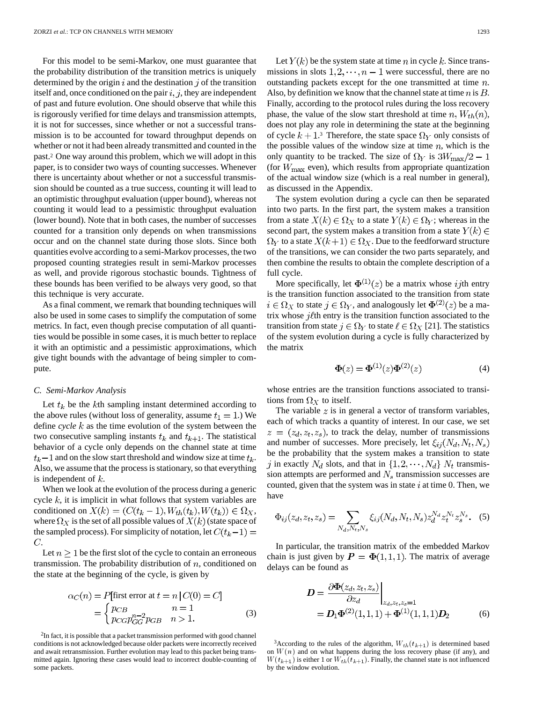For this model to be semi-Markov, one must guarantee that the probability distribution of the transition metrics is uniquely determined by the origin  $i$  and the destination  $j$  of the transition itself and, once conditioned on the pair  $i, j$ , they are independent of past and future evolution. One should observe that while this is rigorously verified for time delays and transmission attempts, it is not for successes, since whether or not a successful transmission is to be accounted for toward throughput depends on whether or not it had been already transmitted and counted in the past.2 One way around this problem, which we will adopt in this paper, is to consider two ways of counting successes. Whenever there is uncertainty about whether or not a successful transmission should be counted as a true success, counting it will lead to an optimistic throughput evaluation (upper bound), whereas not counting it would lead to a pessimistic throughput evaluation (lower bound). Note that in both cases, the number of successes counted for a transition only depends on when transmissions occur and on the channel state during those slots. Since both quantities evolve according to a semi-Markov processes, the two proposed counting strategies result in semi-Markov processes as well, and provide rigorous stochastic bounds. Tightness of these bounds has been verified to be always very good, so that this technique is very accurate.

As a final comment, we remark that bounding techniques will also be used in some cases to simplify the computation of some metrics. In fact, even though precise computation of all quantities would be possible in some cases, it is much better to replace it with an optimistic and a pessimistic approximations, which give tight bounds with the advantage of being simpler to compute.

### *C. Semi-Markov Analysis*

Let  $t_k$  be the kth sampling instant determined according to the above rules (without loss of generality, assume  $t_1 = 1$ .) We define  $cycle\ k$  as the time evolution of the system between the two consecutive sampling instants  $t_k$  and  $t_{k+1}$ . The statistical behavior of a cycle only depends on the channel state at time  $t_k$  – 1 and on the slow start threshold and window size at time  $t_k$ . Also, we assume that the process is stationary, so that everything is independent of  $k$ .

When we look at the evolution of the process during a generic cycle  $k$ , it is implicit in what follows that system variables are conditioned on  $X(k) = (C(t_k - 1), W_{th}(t_k), W(t_k)) \in \Omega_X$ , where  $\Omega_X$  is the set of all possible values of  $X(k)$  (state space of the sampled process). For simplicity of notation, let  $C(t_k-1)$  =  $C.$ 

Let  $n \geq 1$  be the first slot of the cycle to contain an erroneous transmission. The probability distribution of  $n$ , conditioned on the state at the beginning of the cycle, is given by

$$
\alpha_C(n) = P[\text{first error at } t = n | C(0) = C]
$$
  
= 
$$
\begin{cases} p_{CB} & n = 1 \\ p_{CG} p_{GG}^{n-2} p_{GB} & n > 1. \end{cases}
$$
 (3)

2In fact, it is possible that a packet transmission performed with good channel conditions is not acknowledged because older packets were incorrectly received and await retransmission. Further evolution may lead to this packet being transmitted again. Ignoring these cases would lead to incorrect double-counting of some packets.

Let  $Y(k)$  be the system state at time n in cycle k. Since transmissions in slots  $1, 2, \dots, n-1$  were successful, there are no outstanding packets except for the one transmitted at time  $n$ . Also, by definition we know that the channel state at time  $n$  is  $B$ . Finally, according to the protocol rules during the loss recovery phase, the value of the slow start threshold at time  $n, W_{th}(n)$ , does not play any role in determining the state at the beginning of cycle  $k+1$ <sup>3</sup>. Therefore, the state space  $\Omega_Y$  only consists of the possible values of the window size at time  $n$ , which is the only quantity to be tracked. The size of  $\Omega_Y$  is  $3W_{\text{max}}/2 - 1$ (for  $W_{\text{max}}$  even), which results from appropriate quantization of the actual window size (which is a real number in general), as discussed in the Appendix.

The system evolution during a cycle can then be separated into two parts. In the first part, the system makes a transition from a state  $X(k) \in \Omega_X$  to a state  $Y(k) \in \Omega_Y$ ; whereas in the second part, the system makes a transition from a state  $Y(k) \in$  $\Omega_Y$  to a state  $X(k+1) \in \Omega_X$ . Due to the feedforward structure of the transitions, we can consider the two parts separately, and then combine the results to obtain the complete description of a full cycle.

More specifically, let  $\Phi^{(1)}(z)$  be a matrix whose ijth entry is the transition function associated to the transition from state  $i \in \Omega_X$  to state  $j \in \Omega_Y$ , and analogously let  $\Phi^{(2)}(z)$  be a matrix whose  $j\ell$ th entry is the transition function associated to the transition from state  $j \in \Omega_Y$  to state  $\ell \in \Omega_X$  [21]. The statistics of the system evolution during a cycle is fully characterized by the matrix

$$
\mathbf{\Phi}(z) = \mathbf{\Phi}^{(1)}(z)\mathbf{\Phi}^{(2)}(z) \tag{4}
$$

whose entries are the transition functions associated to transitions from  $\Omega_X$  to itself.

The variable  $z$  is in general a vector of transform variables, each of which tracks a quantity of interest. In our case, we set  $z = (z_d, z_t, z_s)$ , to track the delay, number of transmissions and number of successes. More precisely, let  $\xi_{ij}(N_d, N_t, N_s)$ be the probability that the system makes a transition to state j in exactly  $N_d$  slots, and that in  $\{1, 2, \dots, N_d\}$   $N_t$  transmission attempts are performed and  $N_s$  transmission successes are counted, given that the system was in state  $i$  at time 0. Then, we have

$$
\Phi_{ij}(z_d, z_t, z_s) = \sum_{N_d, N_t, N_s} \xi_{ij}(N_d, N_t, N_s) z_d^{N_d} z_t^{N_t} z_s^{N_s}.
$$
 (5)

In particular, the transition matrix of the embedded Markov chain is just given by  $P = \Phi(1,1,1)$ . The matrix of average delays can be found as

$$
D = \frac{\partial \Phi(z_d, z_t, z_s)}{\partial z_d} \bigg|_{z_d, z_t, z_s = 1}
$$
  
=  $D_1 \Phi^{(2)}(1, 1, 1) + \Phi^{(1)}(1, 1, 1)D_2$  (6)

<sup>3</sup>According to the rules of the algorithm,  $W_{th}(t_{k+1})$  is determined based on  $W(n)$  and on what happens during the loss recovery phase (if any), and  $W(t_{k+1})$  is either 1 or  $W_{th}(t_{k+1})$ . Finally, the channel state is not influenced by the window evolution.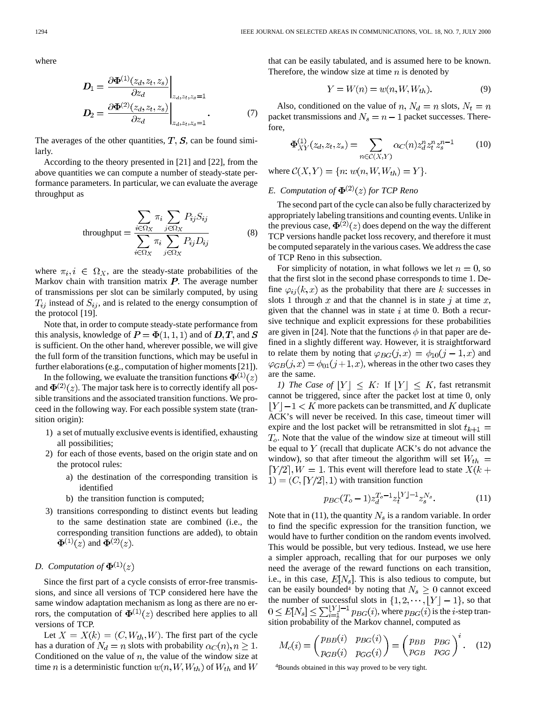where

$$
D_1 = \frac{\partial \Phi^{(1)}(z_d, z_t, z_s)}{\partial z_d} \Big|_{z_d, z_t, z_s = 1}
$$
  
\n
$$
D_2 = \frac{\partial \Phi^{(2)}(z_d, z_t, z_s)}{\partial z_d} \Big|_{z_d, z_t, z_s = 1}.
$$
 (7)

The averages of the other quantities,  $T$ ,  $S$ , can be found similarly.

According to the theory presented in [21] and [22], from the above quantities we can compute a number of steady-state performance parameters. In particular, we can evaluate the average throughput as

throughput 
$$
= \frac{\sum_{i \in \Omega_X} \pi_i \sum_{j \in \Omega_X} P_{ij} S_{ij}}{\sum_{i \in \Omega_X} \pi_i \sum_{j \in \Omega_X} P_{ij} D_{ij}}
$$
(8)

where  $\pi_i, i \in \Omega_X$ , are the steady-state probabilities of the Markov chain with transition matrix  $P$ . The average number of transmissions per slot can be similarly computed, by using  $T_{ij}$  instead of  $S_{ij}$ , and is related to the energy consumption of the protocol [19].

Note that, in order to compute steady-state performance from this analysis, knowledge of  $P = \Phi(1, 1, 1)$  and of  $D, T$ , and S is sufficient. On the other hand, wherever possible, we will give the full form of the transition functions, which may be useful in further elaborations (e.g., computation of higher moments [21]).

In the following, we evaluate the transition functions  $\Phi^{(1)}(z)$ and  $\Phi^{(2)}(z)$ . The major task here is to correctly identify all possible transitions and the associated transition functions. We proceed in the following way. For each possible system state (transition origin):

- 1) a set of mutually exclusive events is identified, exhausting all possibilities;
- 2) for each of those events, based on the origin state and on the protocol rules:
	- a) the destination of the corresponding transition is identified
	- b) the transition function is computed;
- 3) transitions corresponding to distinct events but leading to the same destination state are combined (i.e., the corresponding transition functions are added), to obtain  $\Phi^{(1)}(z)$  and  $\Phi^{(2)}(z)$ .

# *D.* Computation of  $\mathbf{\Phi}^{(1)}(z)$

Since the first part of a cycle consists of error-free transmissions, and since all versions of TCP considered here have the same window adaptation mechanism as long as there are no errors, the computation of  $\mathbf{\Phi}^{(1)}(z)$  described here applies to all versions of TCP.

Let  $X = X(k) = (C, W_{th}, W)$ . The first part of the cycle has a duration of  $N_d = n$  slots with probability  $\alpha_C(n), n \geq 1$ . Conditioned on the value of  $n$ , the value of the window size at time *n* is a deterministic function  $w(n, W, W_{th})$  of  $W_{th}$  and  $W$  that can be easily tabulated, and is assumed here to be known. Therefore, the window size at time  $n$  is denoted by

$$
Y = W(n) = w(n, W, W_{th}).\tag{9}
$$

Also, conditioned on the value of  $n, N_d = n$  slots,  $N_t = n$ packet transmissions and  $N_s = n - 1$  packet successes. Therefore,

$$
\Phi_{XY}^{(1)}(z_d, z_t, z_s) = \sum_{n \in \mathcal{C}(X, Y)} \alpha_C(n) z_d^n z_t^n z_s^{n-1}
$$
 (10)

where  $C(X,Y) = \{n: w(n, W, W_{th}) = Y\}.$ 

# *E. Computation of*  $\Phi^{(2)}(z)$  *for TCP Reno*

The second part of the cycle can also be fully characterized by appropriately labeling transitions and counting events. Unlike in the previous case,  $\Phi^{(2)}(z)$  does depend on the way the different TCP versions handle packet loss recovery, and therefore it must be computed separately in the various cases. We address the case of TCP Reno in this subsection.

For simplicity of notation, in what follows we let  $n = 0$ , so that the first slot in the second phase corresponds to time 1. Define  $\varphi_{ii}(k, x)$  as the probability that there are k successes in slots 1 through x and that the channel is in state j at time x, given that the channel was in state  $i$  at time 0. Both a recursive technique and explicit expressions for these probabilities are given in [24]. Note that the functions  $\phi$  in that paper are defined in a slightly different way. However, it is straightforward to relate them by noting that  $\varphi_{BG}(j, x) = \phi_{10}(j - 1, x)$  and  $\varphi_{GB}(j,x) = \phi_{01}(j+1,x)$ , whereas in the other two cases they are the same.

*1) The Case of*  $[Y] \leq K$ : If  $[Y] \leq K$ , fast retransmit cannot be triggered, since after the packet lost at time 0, only  $|Y|-1 < K$  more packets can be transmitted, and K duplicate ACK's will never be received. In this case, timeout timer will expire and the lost packet will be retransmitted in slot  $t_{k+1}$  =  $T<sub>o</sub>$ . Note that the value of the window size at timeout will still be equal to  $Y$  (recall that duplicate ACK's do not advance the window), so that after timeout the algorithm will set  $W_{th}$  =  $[Y/2], W = 1$ . This event will therefore lead to state  $X(k +$  $(1) = (C, [Y/2], 1)$  with transition function

$$
p_{BC}(T_o - 1)z_d^{T_o - 1} z_t^{[Y] - 1} z_s^{N_s}.
$$
 (11)

Note that in (11), the quantity  $N_s$  is a random variable. In order to find the specific expression for the transition function, we would have to further condition on the random events involved. This would be possible, but very tedious. Instead, we use here a simpler approach, recalling that for our purposes we only need the average of the reward functions on each transition, i.e., in this case,  $E[N_s]$ . This is also tedious to compute, but can be easily bounded<sup>4</sup> by noting that  $N_s \geq 0$  cannot exceed the number of successful slots in  $\{1, 2, \dots, |Y| - 1\}$ , so that , where  $p_{BG}(i)$  is the *i*-step transition probability of the Markov channel, computed as

$$
M_c(i) = \begin{pmatrix} p_{BB}(i) & p_{BG}(i) \\ p_{GB}(i) & p_{GG}(i) \end{pmatrix} = \begin{pmatrix} p_{BB} & p_{BG} \\ p_{GB} & p_{GG} \end{pmatrix}^i.
$$
 (12)

4Bounds obtained in this way proved to be very tight.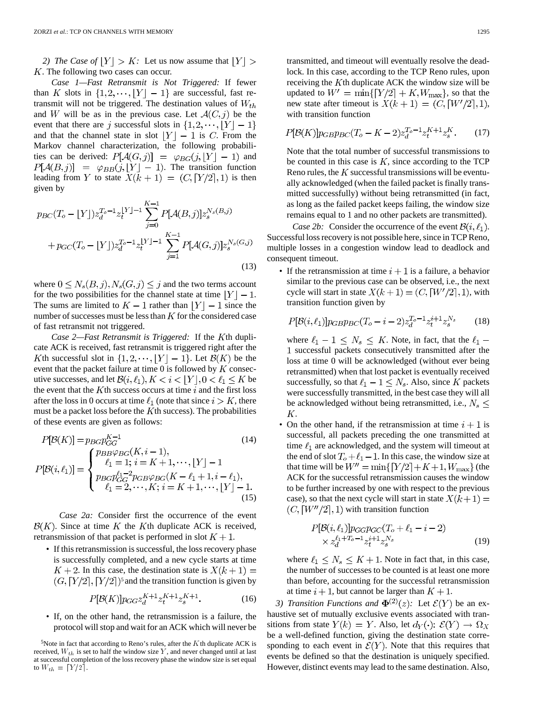*2) The Case of*  $|Y| > K$ : Let us now assume that  $|Y| >$ K. The following two cases can occur.

*Case 1—Fast Retransmit is Not Triggered:* If fewer than K slots in  $\{1, 2, \dots, |Y| - 1\}$  are successful, fast retransmit will not be triggered. The destination values of  $W_{th}$ and W will be as in the previous case. Let  $\mathcal{A}(C, j)$  be the event that there are j successful slots in  $\{1, 2, \dots, |Y| - 1\}$ and that the channel state in slot  $[Y]$  - 1 is C. From the Markov channel characterization, the following probabilities can be derived:  $P[A(G, j)] = \varphi_{BG}(j, [Y] - 1)$  and  $P[A(B, j)] = \varphi_{BB}(j, [\dot{Y}] - 1)$ . The transition function leading from Y to state  $X(k + 1) = (C, [Y/2], 1)$  is then given by

$$
p_{BC}(T_o - \lfloor Y \rfloor) z_d^{T_o - 1} z_t^{\lfloor Y \rfloor - 1} \sum_{j=0}^{K-1} P[\mathcal{A}(B, j)] z_s^{N_s(B, j)}
$$
  
+ 
$$
p_{GC}(T_o - \lfloor Y \rfloor) z_d^{T_o - 1} z_t^{\lfloor Y \rfloor - 1} \sum_{j=1}^{K-1} P[\mathcal{A}(G, j)] z_s^{N_s(G, j)}
$$
(13)

where  $0 \leq N_s(B, j), N_s(G, j) \leq j$  and the two terms account for the two possibilities for the channel state at time  $|Y| - 1$ . The sums are limited to  $K-1$  rather than  $|Y|-1$  since the number of successes must be less than  $K$  for the considered case of fast retransmit not triggered.

*Case 2—Fast Retransmit is Triggered:* If the Kth duplicate ACK is received, fast retransmit is triggered right after the Kth successful slot in  $\{1, 2, \dots, |Y| - 1\}$ . Let  $\mathcal{B}(K)$  be the event that the packet failure at time 0 is followed by  $K$  consecutive successes, and let  $\mathcal{B}(i,\ell_1), K < i < [Y], 0 < \ell_1 \leq K$  be the event that the  $K$ th success occurs at time  $i$  and the first loss after the loss in 0 occurs at time  $\ell_1$  (note that since  $i > K$ , there must be a packet loss before the  $K$ th success). The probabilities of these events are given as follows:

$$
P[\mathcal{B}(K)] = p_{BG} p_{GG}^{K-1}
$$
(14)  
\n
$$
P[\mathcal{B}(i, \ell_1)] = \begin{cases} p_{BB} \varphi_{BG}(K, i-1), \\ \ell_1 = 1; i = K+1, \cdots, \lfloor Y \rfloor - 1 \\ p_{BG} p_{GG}^{\ell_1 - 2} p_{GB} \varphi_{BG}(K - \ell_1 + 1, i - \ell_1), \\ \ell_1 = 2, \cdots, K; i = K+1, \cdots, \lfloor Y \rfloor - 1. \end{cases}
$$
(15)

*Case 2a:* Consider first the occurrence of the event  $\mathcal{B}(K)$ . Since at time K the K<sup>th</sup> duplicate ACK is received, retransmission of that packet is performed in slot  $K + 1$ .

• If this retransmission is successful, the loss recovery phase is successfully completed, and a new cycle starts at time  $K + 2$ . In this case, the destination state is  $X(k + 1) =$  $(G, [Y/2], [Y/2])^5$  and the transition function is given by

$$
P[\mathcal{B}(K)]p_{GG}z_d^{K+1}z_t^{K+1}z_s^{K+1}.
$$
 (16)

• If, on the other hand, the retransmission is a failure, the protocol will stop and wait for an ACK which will never be

 $5$ Note in fact that according to Reno's rules, after the K<sup>th</sup> duplicate ACK is received,  $W_{th}$  is set to half the window size Y, and never changed until at last at successful completion of the loss recovery phase the window size is set equal to  $W_{th} = \lceil Y/2 \rceil$ .

transmitted, and timeout will eventually resolve the deadlock. In this case, according to the TCP Reno rules, upon receiving the  $K$ th duplicate ACK the window size will be updated to  $W' = \min\{[Y/2] + K, W_{\text{max}}\}$ , so that the new state after timeout is  $X(k + 1) = (C, [W'/2], 1)$ , with transition function

$$
P[\mathcal{B}(K)]p_{GB}p_{BC}(T_o - K - 2)z_d^{T_o - 1}z_t^{K+1}z_s^K.
$$
 (17)

Note that the total number of successful transmissions to be counted in this case is  $K$ , since according to the TCP Reno rules, the  $K$  successful transmissions will be eventually acknowledged (when the failed packet is finally transmitted successfully) without being retransmitted (in fact, as long as the failed packet keeps failing, the window size remains equal to 1 and no other packets are transmitted).

*Case 2b:* Consider the occurrence of the event  $\mathcal{B}(i, \ell_1)$ . Successful loss recovery is not possible here, since in TCP Reno, multiple losses in a congestion window lead to deadlock and consequent timeout.

• If the retransmission at time  $i + 1$  is a failure, a behavior similar to the previous case can be observed, i.e., the next cycle will start in state  $X(k + 1) = (C, \lceil W'/2 \rceil, 1)$ , with transition function given by

$$
P[\mathcal{B}(i,\ell_1)]p_{GB}p_{BC}(T_o - i - 2)z_d^{T_o - 1} z_t^{i+1} z_s^{N_s}
$$
 (18)

where  $\ell_1 - 1 \leq N_s \leq K$ . Note, in fact, that the  $\ell_1$  – successful packets consecutively transmitted after the loss at time 0 will be acknowledged (without ever being retransmitted) when that lost packet is eventually received successfully, so that  $\ell_1 - 1 \leq N_s$ . Also, since K packets were successfully transmitted, in the best case they will all be acknowledged without being retransmitted, i.e.,  $N_s \leq$  $K$ .

• On the other hand, if the retransmission at time  $i + 1$  is successful, all packets preceding the one transmitted at time  $\ell_1$  are acknowledged, and the system will timeout at the end of slot  $T_0 + \ell_1 - 1$ . In this case, the window size at that time will be  $W'' = \min\{ [Y/2] + K + 1, W_{\text{max}} \}$  (the ACK for the successful retransmission causes the window to be further increased by one with respect to the previous case), so that the next cycle will start in state  $X(k+1) =$  $(C, \lceil W''/2 \rceil, 1)$  with transition function

$$
P[\mathcal{B}(i,\ell_1)]p_{GG}p_{GC}(T_o + \ell_1 - i - 2) \times z_d^{\ell_1 + T_o - 1} z_t^{i+1} z_s^{N_s}
$$
\n(19)

where  $\ell_1 \leq N_s \leq K + 1$ . Note in fact that, in this case, the number of successes to be counted is at least one more than before, accounting for the successful retransmission at time  $i + 1$ , but cannot be larger than  $K + 1$ .

*3) Transition Functions and*  $\Phi^{(2)}(z)$ : Let  $\mathcal{E}(Y)$  be an exhaustive set of mutually exclusive events associated with transitions from state  $Y(k) = Y$ . Also, let  $d_Y(\cdot) \colon \mathcal{E}(Y) \to \Omega_X$ be a well-defined function, giving the destination state corresponding to each event in  $\mathcal{E}(Y)$ . Note that this requires that events be defined so that the destination is uniquely specified. However, distinct events may lead to the same destination. Also,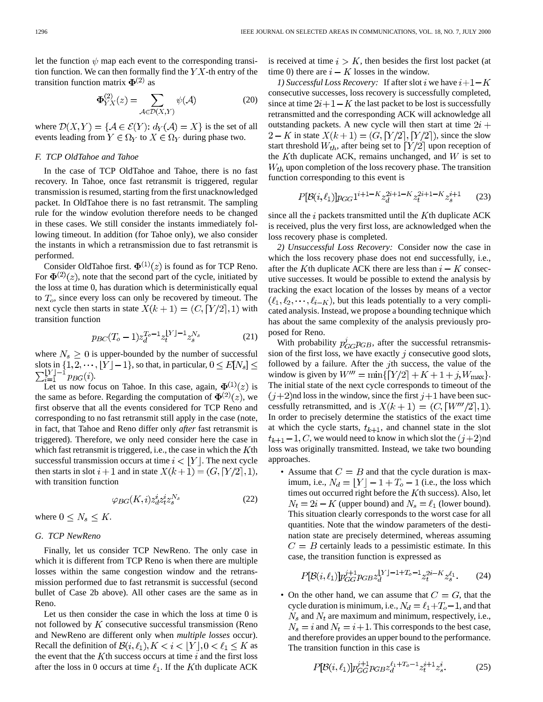let the function  $\psi$  map each event to the corresponding transition function. We can then formally find the  $YX$ -th entry of the transition function matrix  $\mathbf{\Phi}^{(2)}$  as

$$
\Phi_{YX}^{(2)}(z) = \sum_{\mathcal{A} \in \mathcal{D}(X,Y)} \psi(\mathcal{A}) \tag{20}
$$

where  $\mathcal{D}(X,Y) = \{ \mathcal{A} \in \mathcal{E}(Y) : d_Y(\mathcal{A}) = X \}$  is the set of all events leading from  $Y \in \Omega_Y$  to  $X \in \Omega_Y$  during phase two.

# *F. TCP OldTahoe and Tahoe*

In the case of TCP OldTahoe and Tahoe, there is no fast recovery. In Tahoe, once fast retransmit is triggered, regular transmission is resumed, starting from the first unacknowledged packet. In OldTahoe there is no fast retransmit. The sampling rule for the window evolution therefore needs to be changed in these cases. We still consider the instants immediately following timeout. In addition (for Tahoe only), we also consider the instants in which a retransmission due to fast retransmit is performed.

Consider OldTahoe first.  $\Phi^{(1)}(z)$  is found as for TCP Reno. For  $\Phi^{(2)}(z)$ , note that the second part of the cycle, initiated by the loss at time 0, has duration which is deterministically equal to  $T<sub>o</sub>$ , since every loss can only be recovered by timeout. The next cycle then starts in state  $X(k + 1) = (C, [Y/2], 1)$  with transition function

$$
p_{BC}(T_o - 1)z_d^{T_o - 1} z_t^{[Y] - 1} z_s^{N_s}
$$
 (21)

where  $N_s \geq 0$  is upper-bounded by the number of successful slots in  $\{1, 2, \dots, \lfloor Y \rfloor - 1\}$ , so that, in particular,  $0 \le E[N_s] \le$  $\sum_{i=1}^{\lfloor Y \rfloor - 1} p_{BG}(i)$ .

Let us now focus on Tahoe. In this case, again,  $\Phi^{(1)}(z)$  is the same as before. Regarding the computation of  $\mathbf{\Phi}^{(2)}(z)$ , we first observe that all the events considered for TCP Reno and corresponding to no fast retransmit still apply in the case (note, in fact, that Tahoe and Reno differ only *after* fast retransmit is triggered). Therefore, we only need consider here the case in which fast retransmit is triggered, i.e., the case in which the  $K$ th successful transmission occurs at time  $i < |Y|$ . The next cycle then starts in slot  $i + 1$  and in state  $X(k+1) = (G, [Y/2], 1)$ , with transition function

$$
\varphi_{BG}(K,i)z_d^i z_t^i z_s^{N_s} \tag{22}
$$

where  $0 \leq N_s \leq K$ .

### *G. TCP NewReno*

Finally, let us consider TCP NewReno. The only case in which it is different from TCP Reno is when there are multiple losses within the same congestion window and the retransmission performed due to fast retransmit is successful (second bullet of Case 2b above). All other cases are the same as in Reno.

Let us then consider the case in which the loss at time 0 is not followed by  $K$  consecutive successful transmission (Reno and NewReno are different only when *multiple losses* occur). Recall the definition of  $\mathcal{B}(i,\ell_1), K < i < [Y], 0 < \ell_1 \leq K$  as the event that the  $K$ th success occurs at time  $i$  and the first loss after the loss in 0 occurs at time  $\ell_1$ . If the Kth duplicate ACK is received at time  $i > K$ , then besides the first lost packet (at time 0) there are  $i - K$  losses in the window.

*1) Successful Loss Recovery:* If after slot i we have  $i+1-K$ consecutive successes, loss recovery is successfully completed, since at time  $2i+1-K$  the last packet to be lost is successfully retransmitted and the corresponding ACK will acknowledge all outstanding packets. A new cycle will then start at time  $2i +$ 2 – K in state  $X(k + 1) = (G, [Y/2], [Y/2])$ , since the slow start threshold  $W_{th}$ , after being set to  $\lceil Y/2 \rceil$  upon reception of the K<sup>th</sup> duplicate ACK, remains unchanged, and  $W$  is set to  $W_{th}$  upon completion of the loss recovery phase. The transition function corresponding to this event is

$$
P[\mathcal{B}(i,\ell_1)]p_{GG}1^{i+1-K}z_d^{2i+1-K}z_t^{2i+1-K}z_s^{i+1}
$$
 (23)

since all the  $i$  packets transmitted until the  $K$ th duplicate ACK is received, plus the very first loss, are acknowledged when the loss recovery phase is completed.

*2) Unsuccessful Loss Recovery:* Consider now the case in which the loss recovery phase does not end successfully, i.e., after the K<sup>th</sup> duplicate ACK there are less than  $i - K$  consecutive successes. It would be possible to extend the analysis by tracking the exact location of the losses by means of a vector  $(\ell_1, \ell_2, \dots, \ell_{i-K})$ , but this leads potentially to a very complicated analysis. Instead, we propose a bounding technique which has about the same complexity of the analysis previously proposed for Reno.

With probability  $p_{GG}^{j}p_{GB}$ , after the successful retransmission of the first loss, we have exactly  $j$  consecutive good slots, followed by a failure. After the  $j$ th success, the value of the window is given by  $W''' = \min\{[Y/2] + K + 1 + j, W_{\text{max}}\}.$ The initial state of the next cycle corresponds to timeout of the  $(j+2)$ nd loss in the window, since the first  $j+1$  have been successfully retransmitted, and is  $X(k + 1) = (C, [W'''/2], 1)$ . In order to precisely determine the statistics of the exact time at which the cycle starts,  $t_{k+1}$ , and channel state in the slot  $t_{k+1}$  – 1, C, we would need to know in which slot the  $(j+2)$ nd loss was originally transmitted. Instead, we take two bounding approaches.

• Assume that  $C = B$  and that the cycle duration is maximum, i.e.,  $N_d = [Y] - 1 + T_o - 1$  (i.e., the loss which times out occurred right before the  $K$ th success). Also, let  $N_t = 2i - K$  (upper bound) and  $N_s = \ell_1$  (lower bound). This situation clearly corresponds to the worst case for all quantities. Note that the window parameters of the destination state are precisely determined, whereas assuming  $C = B$  certainly leads to a pessimistic estimate. In this case, the transition function is expressed as

$$
P[\mathcal{B}(i,\ell_1)] p_{GG}^{j+1} p_{GB} z_d^{\{Y\}-1+T_o-1} z_t^{2i-K} z_s^{\ell_1}.
$$
 (24)

• On the other hand, we can assume that  $C = G$ , that the cycle duration is minimum, i.e.,  $N_d = \ell_1 + T_o - 1$ , and that  $N_s$  and  $N_t$  are maximum and minimum, respectively, i.e.,  $N_s = i$  and  $N_t = i + 1$ . This corresponds to the best case, and therefore provides an upper bound to the performance. The transition function in this case is

$$
P[\mathcal{B}(i,\ell_1)] p_{GG}^{j+1} p_{GB} z_d^{\ell_1+T_o-1} z_t^{i+1} z_s^i.
$$
 (25)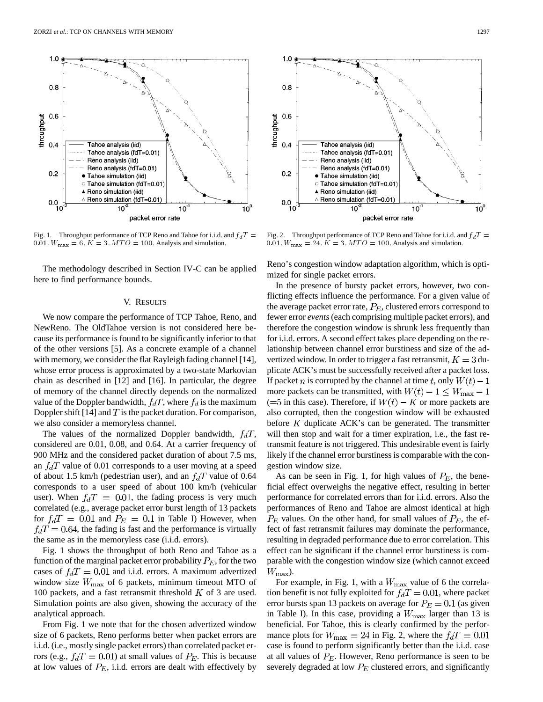Tahoe analysis (iid)

Reno analysis (iid)

· Tahoe simulation (iid)

▲ Reno simulation (iid)

Tahoe analysis (fdT=0.01)

Reno analysis (fdT=0.01)

Tahoe simulation (fdT=0.01)

△ Reno simulation (fdT=0.01)

 $10^{3}$ 

 $1.0$ 

 $0.8$ 

 $0.6$ 

 $0.4$ 

 $0.2$ 

 $0.0\frac{1}{10^{3}}$ 

throughput

Fig. 1. Throughput performance of TCP Reno and Tahoe for i.i.d. and  $f_dT =$ 0.01.  $W_{\text{max}} = 6$ .  $K = 3$ .  $MTO = 100$ . Analysis and simulation.

packet error rate

 $10<sup>1</sup>$ 

The methodology described in Section IV-C can be applied here to find performance bounds.

### V. RESULTS

We now compare the performance of TCP Tahoe, Reno, and NewReno. The OldTahoe version is not considered here because its performance is found to be significantly inferior to that of the other versions [5]. As a concrete example of a channel with memory, we consider the flat Rayleigh fading channel [14], whose error process is approximated by a two-state Markovian chain as described in [12] and [16]. In particular, the degree of memory of the channel directly depends on the normalized value of the Doppler bandwidth,  $f_dT$ , where  $f_d$  is the maximum Doppler shift [14] and  $T$  is the packet duration. For comparison, we also consider a memoryless channel.

The values of the normalized Doppler bandwidth,  $f_dT$ , considered are 0.01, 0.08, and 0.64. At a carrier frequency of 900 MHz and the considered packet duration of about 7.5 ms, an  $f_dT$  value of 0.01 corresponds to a user moving at a speed of about 1.5 km/h (pedestrian user), and an  $f_dT$  value of 0.64 corresponds to a user speed of about 100 km/h (vehicular user). When  $f_dT = 0.01$ , the fading process is very much correlated (e.g., average packet error burst length of 13 packets for  $f_dT = 0.01$  and  $P_E = 0.1$  in Table I) However, when  $f_dT = 0.64$ , the fading is fast and the performance is virtually the same as in the memoryless case (i.i.d. errors).

Fig. 1 shows the throughput of both Reno and Tahoe as a function of the marginal packet error probability  $P_E$ , for the two cases of  $f_dT = 0.01$  and i.i.d. errors. A maximum advertized window size  $W_{\text{max}}$  of 6 packets, minimum timeout MTO of 100 packets, and a fast retransmit threshold  $K$  of 3 are used. Simulation points are also given, showing the accuracy of the analytical approach.

From Fig. 1 we note that for the chosen advertized window size of 6 packets, Reno performs better when packet errors are i.i.d. (i.e., mostly single packet errors) than correlated packet errors (e.g.,  $f_dT = 0.01$ ) at small values of  $P_E$ . This is because at low values of  $P_E$ , i.i.d. errors are dealt with effectively by

Reno's congestion window adaptation algorithm, which is optimized for single packet errors.

Fig. 2. Throughput performance of TCP Reno and Tahoe for i.i.d. and  $f_dT =$  $0.01.$   $W_{\text{max}} = 24.$   $\overline{K} = 3.$   $MTO = 100$ . Analysis and simulation.

In the presence of bursty packet errors, however, two conflicting effects influence the performance. For a given value of the average packet error rate,  $P_E$ , clustered errors correspond to fewer error *events*(each comprising multiple packet errors), and therefore the congestion window is shrunk less frequently than for i.i.d. errors. A second effect takes place depending on the relationship between channel error burstiness and size of the advertized window. In order to trigger a fast retransmit,  $K = 3$  duplicate ACK's must be successfully received after a packet loss. If packet *n* is corrupted by the channel at time t, only  $W(t) - 1$ more packets can be transmitted, with  $W(t) - 1 \leq W_{\text{max}} - 1$ (=5 in this case). Therefore, if  $W(t) - K$  or more packets are also corrupted, then the congestion window will be exhausted before  $K$  duplicate ACK's can be generated. The transmitter will then stop and wait for a timer expiration, i.e., the fast retransmit feature is not triggered. This undesirable event is fairly likely if the channel error burstiness is comparable with the congestion window size.

As can be seen in Fig. 1, for high values of  $P_E$ , the beneficial effect overweighs the negative effect, resulting in better performance for correlated errors than for i.i.d. errors. Also the performances of Reno and Tahoe are almost identical at high  $P_E$  values. On the other hand, for small values of  $P_E$ , the effect of fast retransmit failures may dominate the performance, resulting in degraded performance due to error correlation. This effect can be significant if the channel error burstiness is comparable with the congestion window size (which cannot exceed  $W_{\text{max}}$ ).

For example, in Fig. 1, with a  $W_{\text{max}}$  value of 6 the correlation benefit is not fully exploited for  $f_dT = 0.01$ , where packet error bursts span 13 packets on average for  $P_E = 0.1$  (as given in Table I). In this case, providing a  $W_{\text{max}}$  larger than 13 is beneficial. For Tahoe, this is clearly confirmed by the performance plots for  $W_{\text{max}} = 24$  in Fig. 2, where the  $f_dT = 0.01$ case is found to perform significantly better than the i.i.d. case at all values of  $P_E$ . However, Reno performance is seen to be severely degraded at low  $P_E$  clustered errors, and significantly

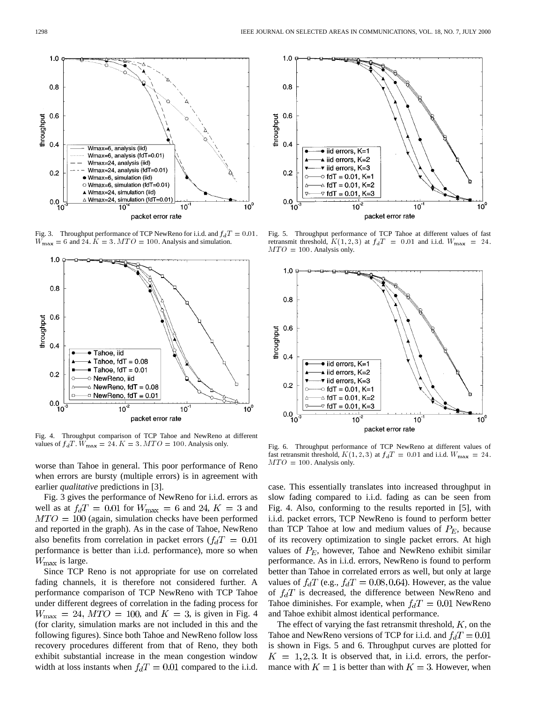

Fig. 3. Throughput performance of TCP NewReno for i.i.d. and  $f_dT = 0.01$ .  $\tilde{W_{\text{max}}} = 6$  and  $24$ .  $\tilde{K} = 3$ .  $MTO = 100$ . Analysis and simulation.



Fig. 4. Throughput comparison of TCP Tahoe and NewReno at different values of  $f_dT$ .  $W_{\text{max}} = 24$ .  $K = 3$ .  $MTO = 100$ . Analysis only.

worse than Tahoe in general. This poor performance of Reno when errors are bursty (multiple errors) is in agreement with earlier *qualitative* predictions in [3].

Fig. 3 gives the performance of NewReno for i.i.d. errors as well as at  $f_dT = 0.01$  for  $W_{\text{max}} = 6$  and 24,  $K = 3$  and  $MTO = 100$  (again, simulation checks have been performed and reported in the graph). As in the case of Tahoe, NewReno also benefits from correlation in packet errors ( $f_dT = 0.01$ ) performance is better than i.i.d. performance), more so when  $W_{\text{max}}$  is large.

Since TCP Reno is not appropriate for use on correlated fading channels, it is therefore not considered further. A performance comparison of TCP NewReno with TCP Tahoe under different degrees of correlation in the fading process for  $W_{\text{max}} = 24, MTO = 100$ , and  $K = 3$ , is given in Fig. 4 (for clarity, simulation marks are not included in this and the following figures). Since both Tahoe and NewReno follow loss recovery procedures different from that of Reno, they both exhibit substantial increase in the mean congestion window width at loss instants when  $f_dT = 0.01$  compared to the i.i.d.



Fig. 5. Throughput performance of TCP Tahoe at different values of fast retransmit threshold,  $K(1, 2, 3)$  at  $f_dT = 0.01$  and i.i.d.  $W_{\text{max}} = 24$ .  $MTO = 100$ . Analysis only.



Fig. 6. Throughput performance of TCP NewReno at different values of fast retransmit threshold,  $K(1, 2, 3)$  at  $f_dT = 0.01$  and i.i.d.  $W_{\text{max}} = 24$ .  $MTO = 100$ . Analysis only.

case. This essentially translates into increased throughput in slow fading compared to i.i.d. fading as can be seen from Fig. 4. Also, conforming to the results reported in [5], with i.i.d. packet errors, TCP NewReno is found to perform better than TCP Tahoe at low and medium values of  $P_E$ , because of its recovery optimization to single packet errors. At high values of  $P_E$ , however, Tahoe and NewReno exhibit similar performance. As in i.i.d. errors, NewReno is found to perform better than Tahoe in correlated errors as well, but only at large values of  $f_dT$  (e.g.,  $f_dT = 0.08, 0.64$ ). However, as the value of  $f_dT$  is decreased, the difference between NewReno and Tahoe diminishes. For example, when  $f_dT = 0.01$  NewReno and Tahoe exhibit almost identical performance.

The effect of varying the fast retransmit threshold,  $K$ , on the Tahoe and NewReno versions of TCP for i.i.d. and  $f_dT = 0.01$ is shown in Figs. 5 and 6. Throughput curves are plotted for  $K = 1, 2, 3$ . It is observed that, in i.i.d. errors, the performance with  $K = 1$  is better than with  $K = 3$ . However, when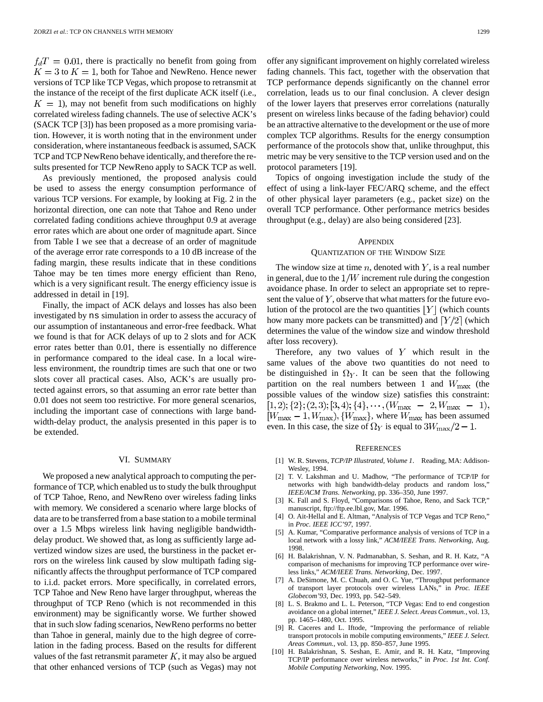$f_dT = 0.01$ , there is practically no benefit from going from  $K = 3$  to  $K = 1$ , both for Tahoe and NewReno. Hence newer versions of TCP like TCP Vegas, which propose to retransmit at the instance of the receipt of the first duplicate ACK itself (i.e.,  $K = 1$ ), may not benefit from such modifications on highly correlated wireless fading channels. The use of selective ACK's (SACK TCP [3]) has been proposed as a more promising variation. However, it is worth noting that in the environment under consideration, where instantaneous feedback is assumed, SACK TCP and TCP NewReno behave identically, and therefore the results presented for TCP NewReno apply to SACK TCP as well.

As previously mentioned, the proposed analysis could be used to assess the energy consumption performance of various TCP versions. For example, by looking at Fig. 2 in the horizontal direction, one can note that Tahoe and Reno under correlated fading conditions achieve throughput 0.9 at average error rates which are about one order of magnitude apart. Since from Table I we see that a decrease of an order of magnitude of the average error rate corresponds to a 10 dB increase of the fading margin, these results indicate that in these conditions Tahoe may be ten times more energy efficient than Reno, which is a very significant result. The energy efficiency issue is addressed in detail in [19].

Finally, the impact of ACK delays and losses has also been investigated by ns simulation in order to assess the accuracy of our assumption of instantaneous and error-free feedback. What we found is that for ACK delays of up to 2 slots and for ACK error rates better than 0.01, there is essentially no difference in performance compared to the ideal case. In a local wireless environment, the roundtrip times are such that one or two slots cover all practical cases. Also, ACK's are usually protected against errors, so that assuming an error rate better than 0.01 does not seem too restrictive. For more general scenarios, including the important case of connections with large bandwidth-delay product, the analysis presented in this paper is to be extended.

### VI. SUMMARY

We proposed a new analytical approach to computing the performance of TCP, which enabled us to study the bulk throughput of TCP Tahoe, Reno, and NewReno over wireless fading links with memory. We considered a scenario where large blocks of data are to be transferred from a base station to a mobile terminal over a 1.5 Mbps wireless link having negligible bandwidthdelay product. We showed that, as long as sufficiently large advertized window sizes are used, the burstiness in the packet errors on the wireless link caused by slow multipath fading significantly affects the throughput performance of TCP compared to i.i.d. packet errors. More specifically, in correlated errors, TCP Tahoe and New Reno have larger throughput, whereas the throughput of TCP Reno (which is not recommended in this environment) may be significantly worse. We further showed that in such slow fading scenarios, NewReno performs no better than Tahoe in general, mainly due to the high degree of correlation in the fading process. Based on the results for different values of the fast retransmit parameter  $K$ , it may also be argued that other enhanced versions of TCP (such as Vegas) may not offer any significant improvement on highly correlated wireless fading channels. This fact, together with the observation that TCP performance depends significantly on the channel error correlation, leads us to our final conclusion. A clever design of the lower layers that preserves error correlations (naturally present on wireless links because of the fading behavior) could be an attractive alternative to the development or the use of more complex TCP algorithms. Results for the energy consumption performance of the protocols show that, unlike throughput, this metric may be very sensitive to the TCP version used and on the protocol parameters [19].

Topics of ongoing investigation include the study of the effect of using a link-layer FEC/ARQ scheme, and the effect of other physical layer parameters (e.g., packet size) on the overall TCP performance. Other performance metrics besides throughput (e.g., delay) are also being considered [23].

### **APPENDIX**

## QUANTIZATION OF THE WINDOW SIZE

The window size at time  $n$ , denoted with  $Y$ , is a real number in general, due to the  $1/W$  increment rule during the congestion avoidance phase. In order to select an appropriate set to represent the value of  $Y$ , observe that what matters for the future evolution of the protocol are the two quantities  $|Y|$  (which counts how many more packets can be transmitted) and  $\lceil Y/2 \rceil$  (which determines the value of the window size and window threshold after loss recovery).

Therefore, any two values of  $Y$  which result in the same values of the above two quantities do not need to be distinguished in  $\Omega_Y$ . It can be seen that the following partition on the real numbers between 1 and  $W_{\text{max}}$  (the possible values of the window size) satisfies this constraint:  $[1,2); \{2\}; (2,3); \{3,4\}; \{4\}, \cdots, (W_{\text{max}} - 2, W_{\text{max}} - 1),$  $[W_{\text{max}} - 1, W_{\text{max}}), W_{\text{max}}\}$ , where  $W_{\text{max}}$  has been assumed even. In this case, the size of  $\Omega_Y$  is equal to  $3W_{\text{max}}/2 - 1$ .

#### **REFERENCES**

- [1] W. R. Stevens, *TCP/IP Illustrated, Volume 1*. Reading, MA: Addison-Wesley, 1994.
- [2] T. V. Lakshman and U. Madhow, "The performance of TCP/IP for networks with high bandwidth-delay products and random loss," *IEEE/ACM Trans. Networking*, pp. 336–350, June 1997.
- [3] K. Fall and S. Floyd, "Comparisons of Tahoe, Reno, and Sack TCP," manuscript, ftp://ftp.ee.lbl.gov, Mar. 1996.
- [4] O. Ait-Hellal and E. Altman, "Analysis of TCP Vegas and TCP Reno," in *Proc. IEEE ICC'97*, 1997.
- [5] A. Kumar, "Comparative performance analysis of versions of TCP in a local network with a lossy link," *ACM/IEEE Trans. Networking*, Aug. 1998.
- [6] H. Balakrishnan, V. N. Padmanabhan, S. Seshan, and R. H. Katz, "A comparison of mechanisms for improving TCP performance over wireless links," *ACM/IEEE Trans. Networking*, Dec. 1997.
- [7] A. DeSimone, M. C. Chuah, and O. C. Yue, "Throughput performance of transport layer protocols over wireless LANs," in *Proc. IEEE Globecom'93*, Dec. 1993, pp. 542–549.
- [8] L. S. Brakmo and L. L. Peterson, "TCP Vegas: End to end congestion avoidance on a global internet," *IEEE J. Select. Areas Commun.*, vol. 13, pp. 1465–1480, Oct. 1995.
- [9] R. Caceres and L. Iftode, "Improving the performance of reliable transport protocols in mobile computing environments," *IEEE J. Select. Areas Commun.*, vol. 13, pp. 850–857, June 1995.
- [10] H. Balakrishnan, S. Seshan, E. Amir, and R. H. Katz, "Improving TCP/IP performance over wireless networks," in *Proc. 1st Int. Conf. Mobile Computing Networking*, Nov. 1995.